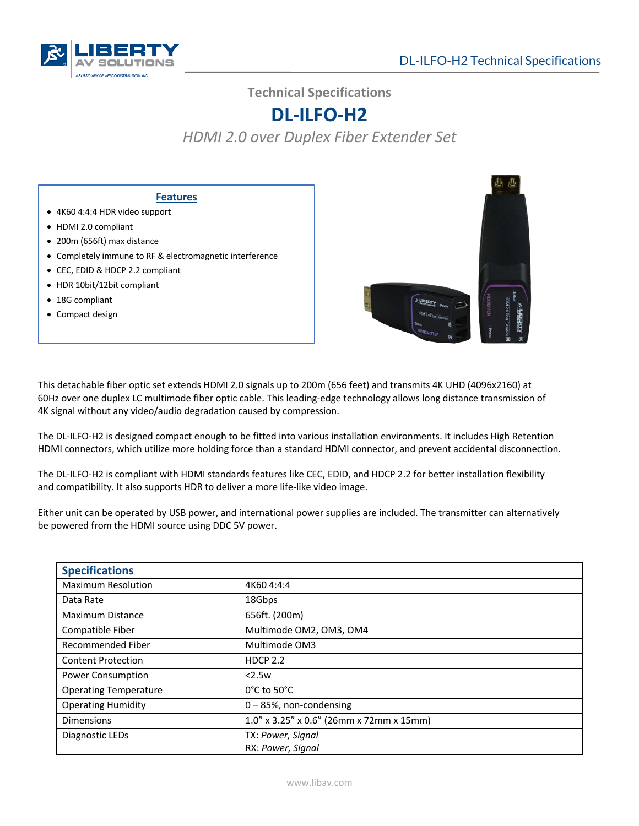

**Technical Specifications**

## **DL-ILFO-H2**

*HDMI 2.0 over Duplex Fiber Extender Set*

## **Features**

- 4K60 4:4:4 HDR video support
- HDMI 2.0 compliant
- 200m (656ft) max distance
- Completely immune to RF & electromagnetic interference
- CEC, EDID & HDCP 2.2 compliant
- HDR 10bit/12bit compliant
- 18G compliant
- Compact design



This detachable fiber optic set extends HDMI 2.0 signals up to 200m (656 feet) and transmits 4K UHD (4096x2160) at 60Hz over one duplex LC multimode fiber optic cable. This leading-edge technology allows long distance transmission of 4K signal without any video/audio degradation caused by compression.

The DL-ILFO-H2 is designed compact enough to be fitted into various installation environments. It includes High Retention HDMI connectors, which utilize more holding force than a standard HDMI connector, and prevent accidental disconnection.

The DL-ILFO-H2 is compliant with HDMI standards features like CEC, EDID, and HDCP 2.2 for better installation flexibility and compatibility. It also supports HDR to deliver a more life-like video image.

Either unit can be operated by USB power, and international power supplies are included. The transmitter can alternatively be powered from the HDMI source using DDC 5V power.

| <b>Specifications</b>        |                                          |  |
|------------------------------|------------------------------------------|--|
| <b>Maximum Resolution</b>    | 4K60 4:4:4                               |  |
| Data Rate                    | 18Gbps                                   |  |
| Maximum Distance             | 656ft. (200m)                            |  |
| Compatible Fiber             | Multimode OM2, OM3, OM4                  |  |
| Recommended Fiber            | Multimode OM3                            |  |
| <b>Content Protection</b>    | <b>HDCP 2.2</b>                          |  |
| <b>Power Consumption</b>     | < 2.5w                                   |  |
| <b>Operating Temperature</b> | $0^{\circ}$ C to 50 $^{\circ}$ C         |  |
| <b>Operating Humidity</b>    | $0 - 85$ %, non-condensing               |  |
| <b>Dimensions</b>            | 1.0" x 3.25" x 0.6" (26mm x 72mm x 15mm) |  |
| Diagnostic LEDs              | TX: Power, Signal                        |  |
|                              | RX: Power, Signal                        |  |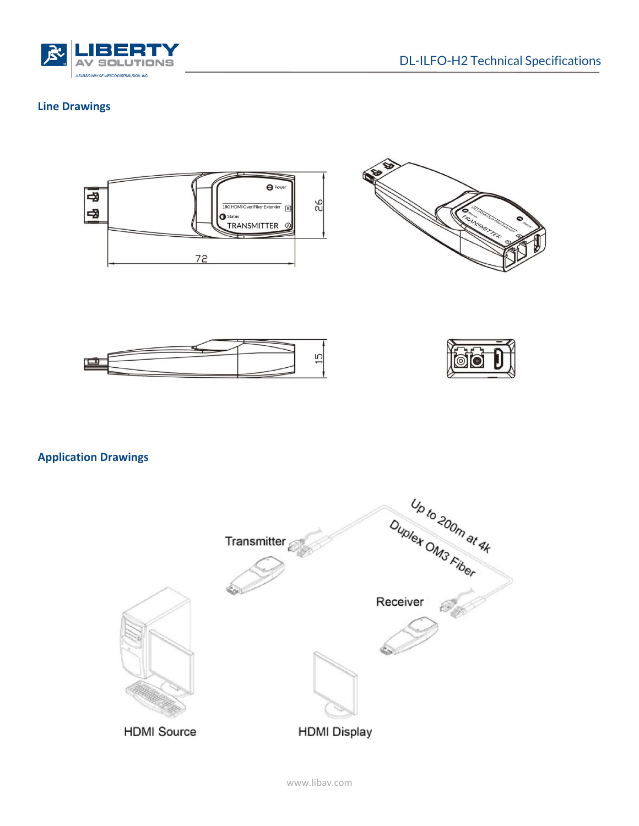

## **Line Drawings**









**Application Drawings**